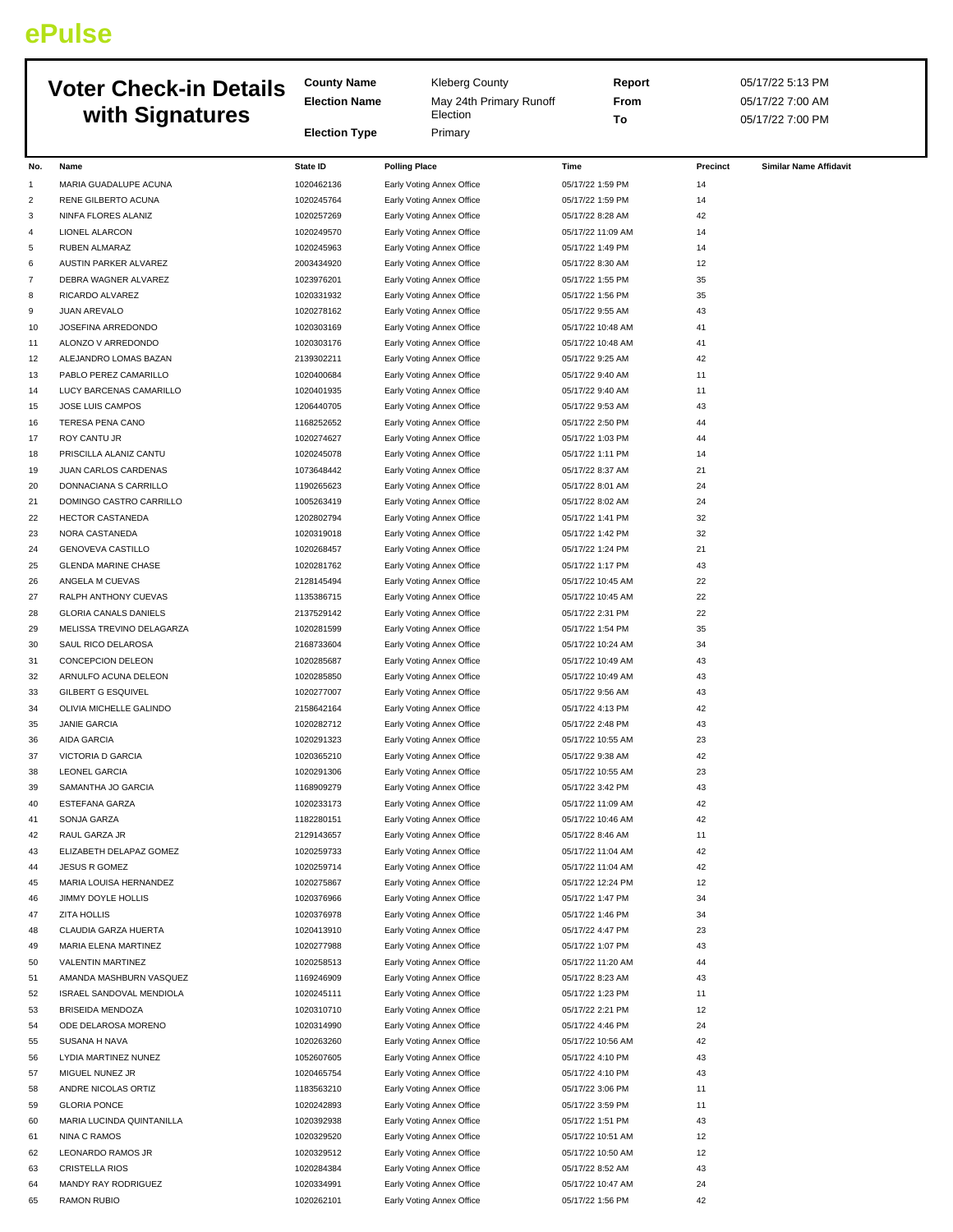## **ePulse**

|                         | <b>Voter Check-in Details</b>                      | <b>County Name</b>       | <b>Kleberg County</b>                                  | Report                                 |          | 05/17/22 5:13 PM              |
|-------------------------|----------------------------------------------------|--------------------------|--------------------------------------------------------|----------------------------------------|----------|-------------------------------|
|                         |                                                    | <b>Election Name</b>     | May 24th Primary Runoff<br>Election                    | From                                   |          | 05/17/22 7:00 AM              |
|                         | with Signatures                                    | <b>Election Type</b>     | Primary                                                | To                                     |          | 05/17/22 7:00 PM              |
|                         |                                                    |                          |                                                        |                                        |          |                               |
| No.                     | Name                                               | State ID                 | <b>Polling Place</b>                                   | Time                                   | Precinct | <b>Similar Name Affidavit</b> |
| $\mathbf{1}$            | MARIA GUADALUPE ACUNA                              | 1020462136               | Early Voting Annex Office                              | 05/17/22 1:59 PM                       | 14       |                               |
| $\overline{\mathbf{c}}$ | RENE GILBERTO ACUNA                                | 1020245764               | Early Voting Annex Office                              | 05/17/22 1:59 PM                       | 14       |                               |
| 3                       | NINFA FLORES ALANIZ                                | 1020257269               | Early Voting Annex Office                              | 05/17/22 8:28 AM                       | 42       |                               |
| 4<br>5                  | LIONEL ALARCON<br>RUBEN ALMARAZ                    | 1020249570<br>1020245963 | Early Voting Annex Office<br>Early Voting Annex Office | 05/17/22 11:09 AM<br>05/17/22 1:49 PM  | 14<br>14 |                               |
| 6                       | AUSTIN PARKER ALVAREZ                              | 2003434920               | Early Voting Annex Office                              | 05/17/22 8:30 AM                       | 12       |                               |
| 7                       | DEBRA WAGNER ALVAREZ                               | 1023976201               | Early Voting Annex Office                              | 05/17/22 1:55 PM                       | 35       |                               |
| 8                       | RICARDO ALVAREZ                                    | 1020331932               | Early Voting Annex Office                              | 05/17/22 1:56 PM                       | 35       |                               |
| 9                       | JUAN AREVALO                                       | 1020278162               | Early Voting Annex Office                              | 05/17/22 9:55 AM                       | 43       |                               |
| 10                      | JOSEFINA ARREDONDO                                 | 1020303169               | Early Voting Annex Office                              | 05/17/22 10:48 AM                      | 41       |                               |
| 11                      | ALONZO V ARREDONDO                                 | 1020303176               | Early Voting Annex Office                              | 05/17/22 10:48 AM                      | 41       |                               |
| 12                      | ALEJANDRO LOMAS BAZAN                              | 2139302211               | Early Voting Annex Office                              | 05/17/22 9:25 AM<br>05/17/22 9:40 AM   | 42       |                               |
| 13<br>14                | PABLO PEREZ CAMARILLO<br>LUCY BARCENAS CAMARILLO   | 1020400684<br>1020401935 | Early Voting Annex Office<br>Early Voting Annex Office | 05/17/22 9:40 AM                       | 11<br>11 |                               |
| 15                      | JOSE LUIS CAMPOS                                   | 1206440705               | Early Voting Annex Office                              | 05/17/22 9:53 AM                       | 43       |                               |
| 16                      | TERESA PENA CANO                                   | 1168252652               | Early Voting Annex Office                              | 05/17/22 2:50 PM                       | 44       |                               |
| 17                      | ROY CANTU JR                                       | 1020274627               | Early Voting Annex Office                              | 05/17/22 1:03 PM                       | 44       |                               |
| 18                      | PRISCILLA ALANIZ CANTU                             | 1020245078               | Early Voting Annex Office                              | 05/17/22 1:11 PM                       | 14       |                               |
| 19                      | JUAN CARLOS CARDENAS                               | 1073648442               | Early Voting Annex Office                              | 05/17/22 8:37 AM                       | 21       |                               |
| 20                      | DONNACIANA S CARRILLO                              | 1190265623               | Early Voting Annex Office                              | 05/17/22 8:01 AM                       | 24       |                               |
| 21<br>22                | DOMINGO CASTRO CARRILLO<br><b>HECTOR CASTANEDA</b> | 1005263419<br>1202802794 | Early Voting Annex Office<br>Early Voting Annex Office | 05/17/22 8:02 AM<br>05/17/22 1:41 PM   | 24<br>32 |                               |
| 23                      | NORA CASTANEDA                                     | 1020319018               | Early Voting Annex Office                              | 05/17/22 1:42 PM                       | 32       |                               |
| 24                      | <b>GENOVEVA CASTILLO</b>                           | 1020268457               | Early Voting Annex Office                              | 05/17/22 1:24 PM                       | 21       |                               |
| 25                      | <b>GLENDA MARINE CHASE</b>                         | 1020281762               | Early Voting Annex Office                              | 05/17/22 1:17 PM                       | 43       |                               |
| 26                      | ANGELA M CUEVAS                                    | 2128145494               | Early Voting Annex Office                              | 05/17/22 10:45 AM                      | 22       |                               |
| 27                      | RALPH ANTHONY CUEVAS                               | 1135386715               | Early Voting Annex Office                              | 05/17/22 10:45 AM                      | 22       |                               |
| 28                      | <b>GLORIA CANALS DANIELS</b>                       | 2137529142               | Early Voting Annex Office                              | 05/17/22 2:31 PM                       | 22       |                               |
| 29                      | MELISSA TREVINO DELAGARZA                          | 1020281599               | Early Voting Annex Office                              | 05/17/22 1:54 PM                       | 35       |                               |
| 30                      | SAUL RICO DELAROSA                                 | 2168733604<br>1020285687 | Early Voting Annex Office                              | 05/17/22 10:24 AM                      | 34       |                               |
| 31<br>32                | CONCEPCION DELEON<br>ARNULFO ACUNA DELEON          | 1020285850               | Early Voting Annex Office<br>Early Voting Annex Office | 05/17/22 10:49 AM<br>05/17/22 10:49 AM | 43<br>43 |                               |
| 33                      | <b>GILBERT G ESQUIVEL</b>                          | 1020277007               | Early Voting Annex Office                              | 05/17/22 9:56 AM                       | 43       |                               |
| 34                      | OLIVIA MICHELLE GALINDO                            | 2158642164               | Early Voting Annex Office                              | 05/17/22 4:13 PM                       | 42       |                               |
| 35                      | <b>JANIE GARCIA</b>                                | 1020282712               | Early Voting Annex Office                              | 05/17/22 2:48 PM                       | 43       |                               |
| 36                      | AIDA GARCIA                                        | 1020291323               | Early Voting Annex Office                              | 05/17/22 10:55 AM                      | 23       |                               |
| 37                      | VICTORIA D GARCIA                                  | 1020365210               | Early Voting Annex Office                              | 05/17/22 9:38 AM                       | 42       |                               |
| 38                      | <b>LEONEL GARCIA</b>                               | 1020291306               | Early Voting Annex Office                              | 05/17/22 10:55 AM                      | 23       |                               |
| 39<br>40                | SAMANTHA JO GARCIA<br>ESTEFANA GARZA               | 1168909279<br>1020233173 | Early Voting Annex Office<br>Early Voting Annex Office | 05/17/22 3:42 PM<br>05/17/22 11:09 AM  | 43<br>42 |                               |
| 41                      | SONJA GARZA                                        | 1182280151               | Early Voting Annex Office                              | 05/17/22 10:46 AM                      | 42       |                               |
| 42                      | RAUL GARZA JR                                      | 2129143657               | Early Voting Annex Office                              | 05/17/22 8:46 AM                       | 11       |                               |
| 43                      | ELIZABETH DELAPAZ GOMEZ                            | 1020259733               | Early Voting Annex Office                              | 05/17/22 11:04 AM                      | 42       |                               |
| 44                      | <b>JESUS R GOMEZ</b>                               | 1020259714               | Early Voting Annex Office                              | 05/17/22 11:04 AM                      | 42       |                               |
| 45                      | MARIA LOUISA HERNANDEZ                             | 1020275867               | Early Voting Annex Office                              | 05/17/22 12:24 PM                      | 12       |                               |
| 46                      | JIMMY DOYLE HOLLIS                                 | 1020376966               | Early Voting Annex Office                              | 05/17/22 1:47 PM                       | 34       |                               |
| 47                      | <b>ZITA HOLLIS</b>                                 | 1020376978<br>1020413910 | Early Voting Annex Office                              | 05/17/22 1:46 PM                       | 34       |                               |
| 48<br>49                | CLAUDIA GARZA HUERTA<br>MARIA ELENA MARTINEZ       | 1020277988               | Early Voting Annex Office<br>Early Voting Annex Office | 05/17/22 4:47 PM<br>05/17/22 1:07 PM   | 23<br>43 |                               |
| 50                      | VALENTIN MARTINEZ                                  | 1020258513               | Early Voting Annex Office                              | 05/17/22 11:20 AM                      | 44       |                               |
| 51                      | AMANDA MASHBURN VASQUEZ                            | 1169246909               | Early Voting Annex Office                              | 05/17/22 8:23 AM                       | 43       |                               |
| 52                      | ISRAEL SANDOVAL MENDIOLA                           | 1020245111               | Early Voting Annex Office                              | 05/17/22 1:23 PM                       | 11       |                               |
| 53                      | <b>BRISEIDA MENDOZA</b>                            | 1020310710               | Early Voting Annex Office                              | 05/17/22 2:21 PM                       | 12       |                               |
| 54                      | ODE DELAROSA MORENO                                | 1020314990               | Early Voting Annex Office                              | 05/17/22 4:46 PM                       | 24       |                               |
| 55                      | SUSANA H NAVA                                      | 1020263260               | Early Voting Annex Office                              | 05/17/22 10:56 AM                      | 42       |                               |
| 56                      | LYDIA MARTINEZ NUNEZ                               | 1052607605               | Early Voting Annex Office                              | 05/17/22 4:10 PM                       | 43       |                               |
| 57                      | MIGUEL NUNEZ JR                                    | 1020465754               | Early Voting Annex Office                              | 05/17/22 4:10 PM                       | 43       |                               |
| 58<br>59                | ANDRE NICOLAS ORTIZ<br><b>GLORIA PONCE</b>         | 1183563210<br>1020242893 | Early Voting Annex Office<br>Early Voting Annex Office | 05/17/22 3:06 PM<br>05/17/22 3:59 PM   | 11<br>11 |                               |
| 60                      | MARIA LUCINDA QUINTANILLA                          | 1020392938               | Early Voting Annex Office                              | 05/17/22 1:51 PM                       | 43       |                               |
| 61                      | <b>NINA C RAMOS</b>                                | 1020329520               | Early Voting Annex Office                              | 05/17/22 10:51 AM                      | 12       |                               |
| 62                      | LEONARDO RAMOS JR                                  | 1020329512               | Early Voting Annex Office                              | 05/17/22 10:50 AM                      | 12       |                               |
| 63                      | <b>CRISTELLA RIOS</b>                              | 1020284384               | Early Voting Annex Office                              | 05/17/22 8:52 AM                       | 43       |                               |
| 64                      | MANDY RAY RODRIGUEZ                                | 1020334991               | Early Voting Annex Office                              | 05/17/22 10:47 AM                      | 24       |                               |
| 65                      | <b>RAMON RUBIO</b>                                 | 1020262101               | Early Voting Annex Office                              | 05/17/22 1:56 PM                       | 42       |                               |